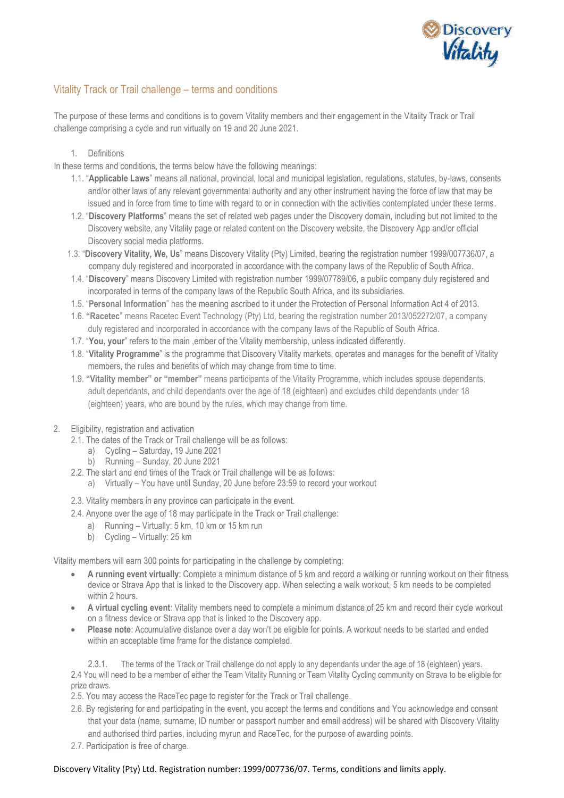

# Vitality Track or Trail challenge – terms and conditions

The purpose of these terms and conditions is to govern Vitality members and their engagement in the Vitality Track or Trail challenge comprising a cycle and run virtually on 19 and 20 June 2021.

## 1. Definitions

In these terms and conditions, the terms below have the following meanings:

- 1.1. "**Applicable Laws**" means all national, provincial, local and municipal legislation, regulations, statutes, by-laws, consents and/or other laws of any relevant governmental authority and any other instrument having the force of law that may be issued and in force from time to time with regard to or in connection with the activities contemplated under these terms.
- 1.2. "**Discovery Platforms**" means the set of related web pages under the Discovery domain, including but not limited to the Discovery website, any Vitality page or related content on the Discovery website, the Discovery App and/or official Discovery social media platforms.
- 1.3. "**Discovery Vitality, We, Us**" means Discovery Vitality (Pty) Limited, bearing the registration number 1999/007736/07, a company duly registered and incorporated in accordance with the company laws of the Republic of South Africa.
- 1.4. "**Discovery**" means Discovery Limited with registration number 1999/07789/06, a public company duly registered and incorporated in terms of the company laws of the Republic South Africa, and its subsidiaries.
- 1.5. "**Personal Information**" has the meaning ascribed to it under the Protection of Personal Information Act 4 of 2013.
- 1.6. **"Racetec**" means Racetec Event Technology (Pty) Ltd, bearing the registration number 2013/052272/07, a company duly registered and incorporated in accordance with the company laws of the Republic of South Africa.
- 1.7. "**You, your**" refers to the main ,ember of the Vitality membership, unless indicated differently.
- 1.8. "**Vitality Programme**" is the programme that Discovery Vitality markets, operates and manages for the benefit of Vitality members, the rules and benefits of which may change from time to time.
- 1.9. **"Vitality member" or "member"** means participants of the Vitality Programme, which includes spouse dependants, adult dependants, and child dependants over the age of 18 (eighteen) and excludes child dependants under 18 (eighteen) years, who are bound by the rules, which may change from time.
- 2. Eligibility, registration and activation
	- 2.1. The dates of the Track or Trail challenge will be as follows:
		- a) Cycling Saturday, 19 June 2021
		- b) Running Sunday, 20 June 2021
	- 2.2. The start and end times of the Track or Trail challenge will be as follows:
		- a) Virtually You have until Sunday, 20 June before 23:59 to record your workout
	- 2.3. Vitality members in any province can participate in the event.
	- 2.4. Anyone over the age of 18 may participate in the Track or Trail challenge:
		- a) Running Virtually: 5 km, 10 km or 15 km run
		- b) Cycling Virtually: 25 km

Vitality members will earn 300 points for participating in the challenge by completing:

- **A running event virtually**: Complete a minimum distance of 5 km and record a walking or running workout on their fitness device or Strava App that is linked to the Discovery app. When selecting a walk workout, 5 km needs to be completed within 2 hours.
- **A virtual cycling event**: Vitality members need to complete a minimum distance of 25 km and record their cycle workout on a fitness device or Strava app that is linked to the Discovery app.
- **Please note**: Accumulative distance over a day won't be eligible for points. A workout needs to be started and ended within an acceptable time frame for the distance completed.

2.3.1. The terms of the Track or Trail challenge do not apply to any dependants under the age of 18 (eighteen) years. 2.4 You will need to be a member of either the Team Vitality Running or Team Vitality Cycling community on Strava to be eligible for prize draws.

- 2.5. You may access the RaceTec page to register for the Track or Trail challenge.
- 2.6. By registering for and participating in the event, you accept the terms and conditions and You acknowledge and consent that your data (name, surname, ID number or passport number and email address) will be shared with Discovery Vitality and authorised third parties, including myrun and RaceTec, for the purpose of awarding points.
- 2.7. Participation is free of charge.

#### Discovery Vitality (Pty) Ltd. Registration number: 1999/007736/07. Terms, conditions and limits apply.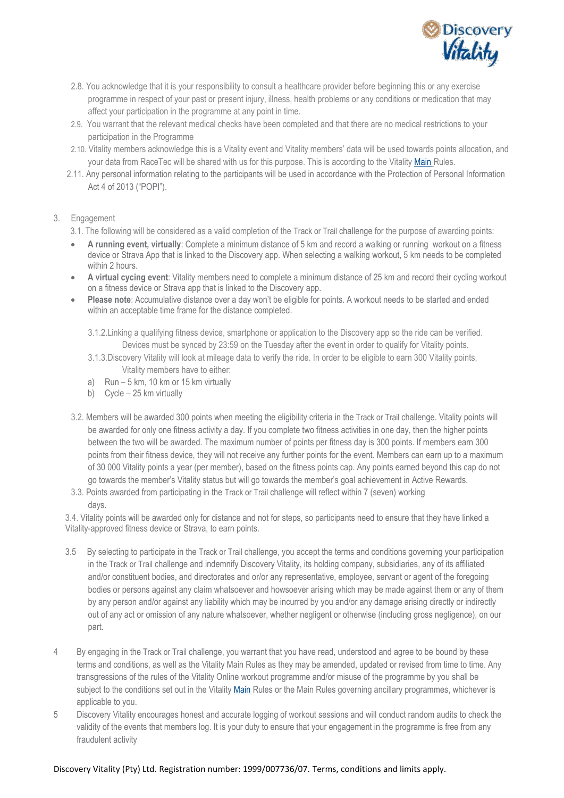

- 2.8. You acknowledge that it is your responsibility to consult a healthcare provider before beginning this or any exercise programme in respect of your past or present injury, illness, health problems or any conditions or medication that may affect your participation in the programme at any point in time.
- 2.9. You warrant that the relevant medical checks have been completed and that there are no medical restrictions to your participation in the Programme
- 2.10. Vitality members acknowledge this is a Vitality event and Vitality members' data will be used towards points allocation, and your data from RaceTec will be shared with us for this purpose. This is according to the Vitalit[y Main](https://www.discovery.co.za/portal/individual/vitality-rules) Rules.
- 2.11. Any personal information relating to the participants will be used in accordance with the Protection of Personal Information Act 4 of 2013 ("POPI").

### 3. Engagement

- 3.1. The following will be considered as a valid completion of the Track or Trail challenge for the purpose of awarding points:
- **A running event, virtually**: Complete a minimum distance of 5 km and record a walking or running workout on a fitness device or Strava App that is linked to the Discovery app. When selecting a walking workout, 5 km needs to be completed within 2 hours.
- **A virtual cycing event**: Vitality members need to complete a minimum distance of 25 km and record their cycling workout on a fitness device or Strava app that is linked to the Discovery app.
- **Please note**: Accumulative distance over a day won't be eligible for points. A workout needs to be started and ended within an acceptable time frame for the distance completed.

3.1.2.Linking a qualifying fitness device, smartphone or application to the Discovery app so the ride can be verified. Devices must be synced by 23:59 on the Tuesday after the event in order to qualify for Vitality points.

- 3.1.3.Discovery Vitality will look at mileage data to verify the ride. In order to be eligible to earn 300 Vitality points, Vitality members have to either:
- a) Run 5 km, 10 km or 15 km virtually
- b) Cycle 25 km virtually
- 3.2. Members will be awarded 300 points when meeting the eligibility criteria in the Track or Trail challenge. Vitality points will be awarded for only one fitness activity a day. If you complete two fitness activities in one day, then the higher points between the two will be awarded. The maximum number of points per fitness day is 300 points. If members earn 300 points from their fitness device, they will not receive any further points for the event. Members can earn up to a maximum of 30 000 Vitality points a year (per member), based on the fitness points cap. Any points earned beyond this cap do not go towards the member's Vitality status but will go towards the member's goal achievement in Active Rewards.
- 3.3. Points awarded from participating in the Track or Trail challenge will reflect within 7 (seven) working days.

3.4. Vitality points will be awarded only for distance and not for steps, so participants need to ensure that they have linked a Vitality-approved fitness device or Strava, to earn points.

- 3.5 By selecting to participate in the Track or Trail challenge, you accept the terms and conditions governing your participation in the Track or Trail challenge and indemnify Discovery Vitality, its holding company, subsidiaries, any of its affiliated and/or constituent bodies, and directorates and or/or any representative, employee, servant or agent of the foregoing bodies or persons against any claim whatsoever and howsoever arising which may be made against them or any of them by any person and/or against any liability which may be incurred by you and/or any damage arising directly or indirectly out of any act or omission of any nature whatsoever, whether negligent or otherwise (including gross negligence), on our part.
- 4 By engaging in the Track or Trail challenge, you warrant that you have read, understood and agree to be bound by these terms and conditions, as well as the Vitality Main Rules as they may be amended, updated or revised from time to time. Any transgressions of the rules of the Vitality Online workout programme and/or misuse of the programme by you shall be subject to the conditions set out in the Vitality [Main](https://www.discovery.co.za/portal/individual/vitality-rules) Rules or the Main Rules governing ancillary programmes, whichever is applicable to you.
- 5 Discovery Vitality encourages honest and accurate logging of workout sessions and will conduct random audits to check the validity of the events that members log. It is your duty to ensure that your engagement in the programme is free from any fraudulent activity

#### Discovery Vitality (Pty) Ltd. Registration number: 1999/007736/07. Terms, conditions and limits apply.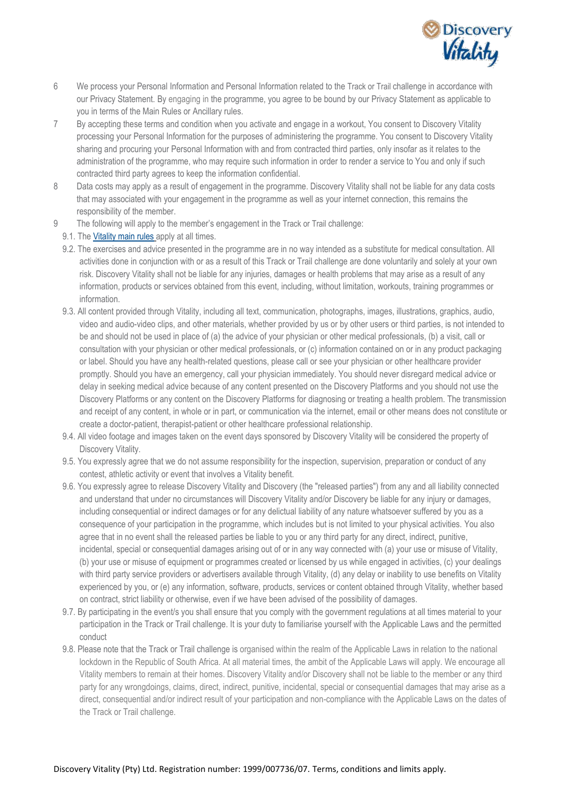

- 6 We process your Personal Information and Personal Information related to the Track or Trail challenge in accordance with our Privacy Statement. By engaging in the programme, you agree to be bound by our Privacy Statement as applicable to you in terms of the Main Rules or Ancillary rules.
- 7 By accepting these terms and condition when you activate and engage in a workout, You consent to Discovery Vitality processing your Personal Information for the purposes of administering the programme. You consent to Discovery Vitality sharing and procuring your Personal Information with and from contracted third parties, only insofar as it relates to the administration of the programme, who may require such information in order to render a service to You and only if such contracted third party agrees to keep the information confidential.
- 8 Data costs may apply as a result of engagement in the programme. Discovery Vitality shall not be liable for any data costs that may associated with your engagement in the programme as well as your internet connection, this remains the responsibility of the member.
- 9 The following will apply to the member's engagement in the Track or Trail challenge:
	- 9.1. Th[e Vitality main rules](https://www.discovery.co.za/portal/individual/vitality-rules) apply at all times.
	- 9.2. The exercises and advice presented in the programme are in no way intended as a substitute for medical consultation. All activities done in conjunction with or as a result of this Track or Trail challenge are done voluntarily and solely at your own risk. Discovery Vitality shall not be liable for any injuries, damages or health problems that may arise as a result of any information, products or services obtained from this event, including, without limitation, workouts, training programmes or information.
	- 9.3. All content provided through Vitality, including all text, communication, photographs, images, illustrations, graphics, audio, video and audio-video clips, and other materials, whether provided by us or by other users or third parties, is not intended to be and should not be used in place of (a) the advice of your physician or other medical professionals, (b) a visit, call or consultation with your physician or other medical professionals, or (c) information contained on or in any product packaging or label. Should you have any health-related questions, please call or see your physician or other healthcare provider promptly. Should you have an emergency, call your physician immediately. You should never disregard medical advice or delay in seeking medical advice because of any content presented on the Discovery Platforms and you should not use the Discovery Platforms or any content on the Discovery Platforms for diagnosing or treating a health problem. The transmission and receipt of any content, in whole or in part, or communication via the internet, email or other means does not constitute or create a doctor-patient, therapist-patient or other healthcare professional relationship.
	- 9.4. All video footage and images taken on the event days sponsored by Discovery Vitality will be considered the property of Discovery Vitality.
	- 9.5. You expressly agree that we do not assume responsibility for the inspection, supervision, preparation or conduct of any contest, athletic activity or event that involves a Vitality benefit.
	- 9.6. You expressly agree to release Discovery Vitality and Discovery (the "released parties") from any and all liability connected and understand that under no circumstances will Discovery Vitality and/or Discovery be liable for any injury or damages, including consequential or indirect damages or for any delictual liability of any nature whatsoever suffered by you as a consequence of your participation in the programme, which includes but is not limited to your physical activities. You also agree that in no event shall the released parties be liable to you or any third party for any direct, indirect, punitive, incidental, special or consequential damages arising out of or in any way connected with (a) your use or misuse of Vitality, (b) your use or misuse of equipment or programmes created or licensed by us while engaged in activities, (c) your dealings with third party service providers or advertisers available through Vitality, (d) any delay or inability to use benefits on Vitality experienced by you, or (e) any information, software, products, services or content obtained through Vitality, whether based on contract, strict liability or otherwise, even if we have been advised of the possibility of damages.
	- 9.7. By participating in the event/s you shall ensure that you comply with the government regulations at all times material to your participation in the Track or Trail challenge. It is your duty to familiarise yourself with the Applicable Laws and the permitted conduct
	- 9.8. Please note that the Track or Trail challenge is organised within the realm of the Applicable Laws in relation to the national lockdown in the Republic of South Africa. At all material times, the ambit of the Applicable Laws will apply. We encourage all Vitality members to remain at their homes. Discovery Vitality and/or Discovery shall not be liable to the member or any third party for any wrongdoings, claims, direct, indirect, punitive, incidental, special or consequential damages that may arise as a direct, consequential and/or indirect result of your participation and non-compliance with the Applicable Laws on the dates of the Track or Trail challenge.